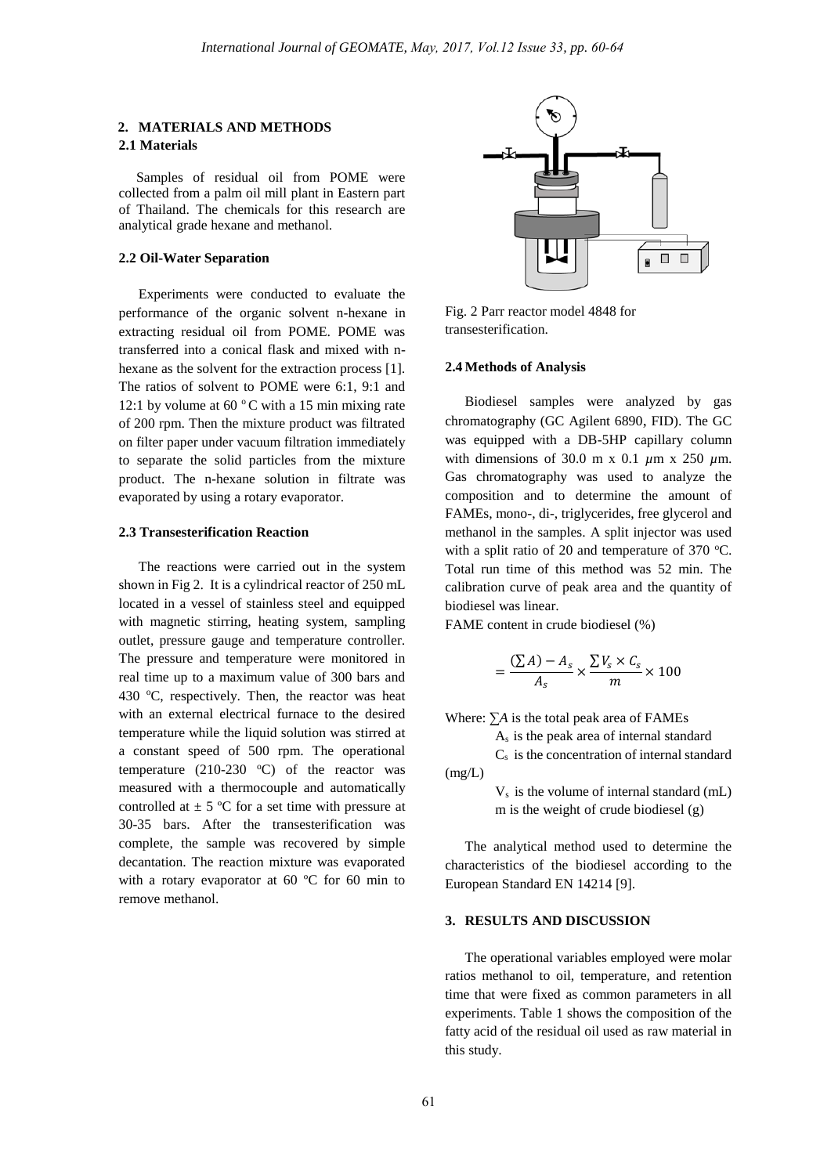# **2. MATERIALS AND METHODS 2.1 Materials**

 Samples of residual oil from POME were collected from a palm oil mill plant in Eastern part of Thailand. The chemicals for this research are analytical grade hexane and methanol.

#### **2.2 Oil-Water Separation**

Experiments were conducted to evaluate the performance of the organic solvent n-hexane in extracting residual oil from POME. POME was transferred into a conical flask and mixed with nhexane as the solvent for the extraction process [1]. The ratios of solvent to POME were 6:1, 9:1 and 12:1 by volume at 60 $\degree$ C with a 15 min mixing rate of 200 rpm. Then the mixture product was filtrated on filter paper under vacuum filtration immediately to separate the solid particles from the mixture product. The n-hexane solution in filtrate was evaporated by using a rotary evaporator.

#### **2.3 Transesterification Reaction**

The reactions were carried out in the system shown in Fig 2. It is a cylindrical reactor of 250 mL located in a vessel of stainless steel and equipped with magnetic stirring, heating system, sampling outlet, pressure gauge and temperature controller. The pressure and temperature were monitored in real time up to a maximum value of 300 bars and 430  $^{\circ}$ C, respectively. Then, the reactor was heat with an external electrical furnace to the desired temperature while the liquid solution was stirred at a constant speed of 500 rpm. The operational temperature (210-230  $^{\circ}$ C) of the reactor was measured with a thermocouple and automatically controlled at  $\pm$  5 °C for a set time with pressure at 30-35 bars. After the transesterification was complete, the sample was recovered by simple decantation. The reaction mixture was evaporated with a rotary evaporator at 60 ºC for 60 min to remove methanol.



Fig. 2 Parr reactor model 4848 for transesterification.

### **2.4 Methods of Analysis**

Biodiesel samples were analyzed by gas chromatography (GC Agilent 6890, FID). The GC was equipped with a DB-5HP capillary column with dimensions of 30.0 m x 0.1 *µ*m x 250 *µ*m. Gas chromatography was used to analyze the composition and to determine the amount of FAMEs, mono-, di-, triglycerides, free glycerol and methanol in the samples. A split injector was used with a split ratio of 20 and temperature of 370  $^{\circ}$ C. Total run time of this method was 52 min. The calibration curve of peak area and the quantity of biodiesel was linear.

FAME content in crude biodiesel (%)

$$
=\frac{(\sum A)-A_s}{A_s}\times\frac{\sum V_s\times C_s}{m}\times 100
$$

Where: ∑*A* is the total peak area of FAMEs

As is the peak area of internal standard

 $C_s$  is the concentration of internal standard  $(mg/L)$ 

> $V<sub>s</sub>$  is the volume of internal standard (mL) m is the weight of crude biodiesel (g)

The analytical method used to determine the characteristics of the biodiesel according to the European Standard EN 14214 [9].

## **3. RESULTS AND DISCUSSION**

The operational variables employed were molar ratios methanol to oil, temperature, and retention time that were fixed as common parameters in all experiments. Table 1 shows the composition of the fatty acid of the residual oil used as raw material in this study.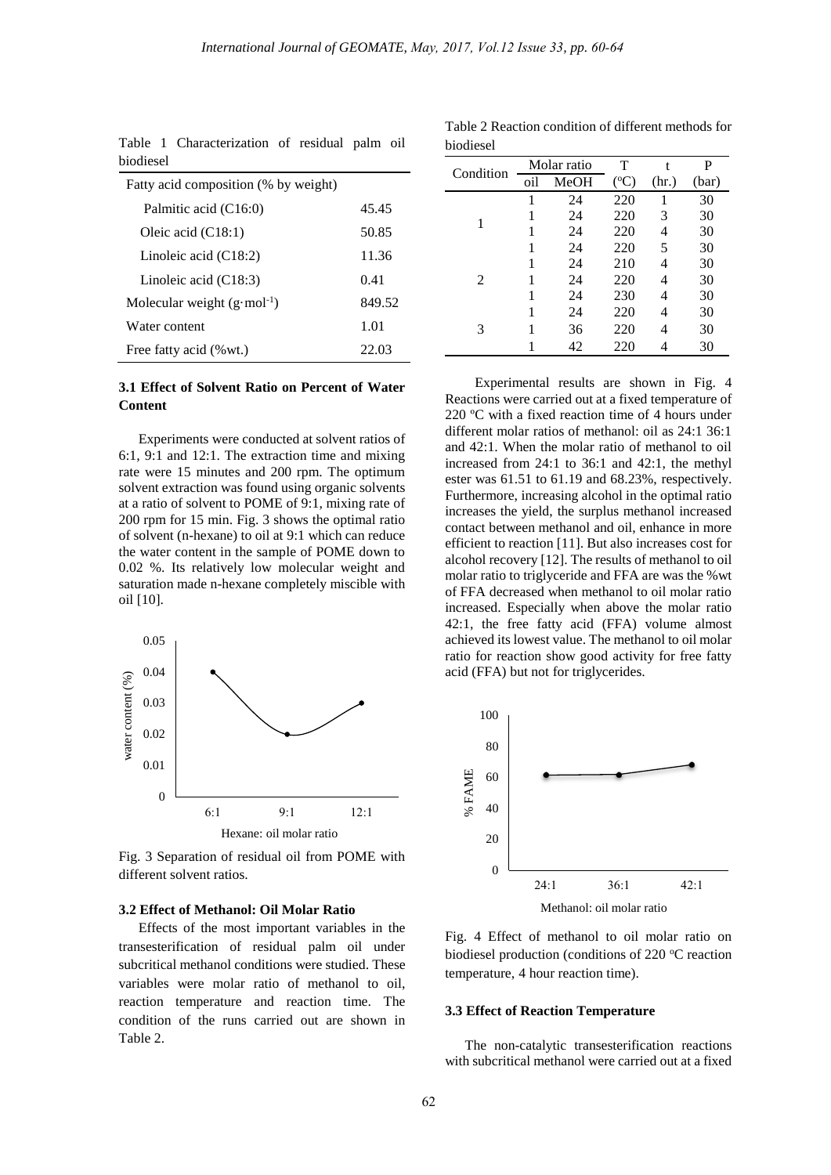biodiesel

| oiogicsci                             |        |
|---------------------------------------|--------|
| Fatty acid composition (% by weight)  |        |
| Palmitic acid (C16:0)                 | 45.45  |
| Oleic acid $(C18:1)$                  | 50.85  |
| Linoleic acid $(C18:2)$               | 11.36  |
| Linoleic acid $(C18:3)$               | 0.41   |
| Molecular weight $(g \cdot mol^{-1})$ | 849.52 |
| Water content                         | 1.01   |
| Free fatty acid (% wt.)               | 22.03  |

Table 1 Characterization of residual palm oil biodiesel

# **3.1 Effect of Solvent Ratio on Percent of Water Content**

Experiments were conducted at solvent ratios of 6:1, 9:1 and 12:1. The extraction time and mixing rate were 15 minutes and 200 rpm. The optimum solvent extraction was found using organic solvents at a ratio of solvent to POME of 9:1, mixing rate of 200 rpm for 15 min. Fig. 3 shows the optimal ratio of solvent (n-hexane) to oil at 9:1 which can reduce the water content in the sample of POME down to 0.02 %. Its relatively low molecular weight and saturation made n-hexane completely miscible with oil [10].



Fig. 3 Separation of residual oil from POME with different solvent ratios.

## **3.2 Effect of Methanol: Oil Molar Ratio**

Effects of the most important variables in the transesterification of residual palm oil under subcritical methanol conditions were studied. These variables were molar ratio of methanol to oil, reaction temperature and reaction time. The condition of the runs carried out are shown in Table 2.

|           |     | Molar ratio | T             | t     | P     |
|-----------|-----|-------------|---------------|-------|-------|
| Condition | oil | MeOH        | $(^{\circ}C)$ | (hr.) | (bar) |
|           | 1   | 24          | 220           | 1     | 30    |
| 1         |     | 24          | 220           | 3     | 30    |
|           |     | 24          | 220           | 4     | 30    |
|           |     | 24          | 220           | 5     | 30    |
|           |     | 24          | 210           | 4     | 30    |
| 2         |     | 24          | 220           | 4     | 30    |
|           |     | 24          | 230           | 4     | 30    |
| 3         |     | 24          | 220           | 4     | 30    |
|           |     | 36          | 220           | 4     | 30    |
|           |     | 42          | 220           |       | 30    |

Table 2 Reaction condition of different methods for

Experimental results are shown in Fig. 4 Reactions were carried out at a fixed temperature of 220 ºC with a fixed reaction time of 4 hours under different molar ratios of methanol: oil as 24:1 36:1 and 42:1. When the molar ratio of methanol to oil increased from 24:1 to 36:1 and 42:1, the methyl ester was 61.51 to 61.19 and 68.23%, respectively. Furthermore, increasing alcohol in the optimal ratio increases the yield, the surplus methanol increased contact between methanol and oil, enhance in more efficient to reaction [11]. But also increases cost for alcohol recovery [12]. The results of methanol to oil molar ratio to triglyceride and FFA are was the %wt of FFA decreased when methanol to oil molar ratio increased. Especially when above the molar ratio 42:1, the free fatty acid (FFA) volume almost achieved its lowest value. The methanol to oil molar ratio for reaction show good activity for free fatty acid (FFA) but not for triglycerides.



Fig. 4 Effect of methanol to oil molar ratio on biodiesel production (conditions of  $220$  °C reaction temperature, 4 hour reaction time).

#### **3.3 Effect of Reaction Temperature**

The non-catalytic transesterification reactions with subcritical methanol were carried out at a fixed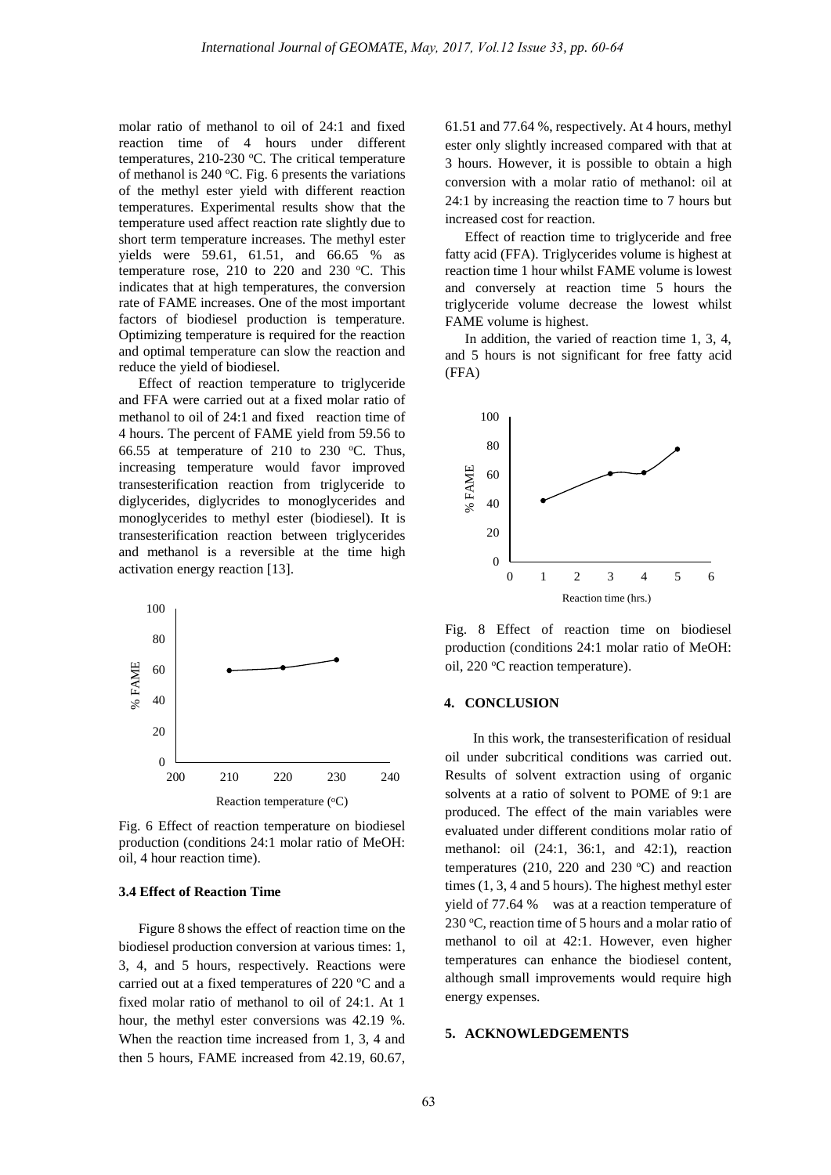molar ratio of methanol to oil of 24:1 and fixed reaction time of 4 hours under different temperatures,  $210-230$  °C. The critical temperature of methanol is 240  $\mathrm{°C}$ . Fig. 6 presents the variations of the methyl ester yield with different reaction temperatures. Experimental results show that the temperature used affect reaction rate slightly due to short term temperature increases. The methyl ester yields were 59.61, 61.51, and 66.65 % as temperature rose, 210 to 220 and 230  $\degree$ C. This indicates that at high temperatures, the conversion rate of FAME increases. One of the most important factors of biodiesel production is temperature. Optimizing temperature is required for the reaction and optimal temperature can slow the reaction and reduce the yield of biodiesel.

Effect of reaction temperature to triglyceride and FFA were carried out at a fixed molar ratio of methanol to oil of 24:1 and fixed reaction time of 4 hours. The percent of FAME yield from 59.56 to 66.55 at temperature of 210 to 230  $°C$ . Thus, increasing temperature would favor improved transesterification reaction from triglyceride to diglycerides, diglycrides to monoglycerides and monoglycerides to methyl ester (biodiesel). It is transesterification reaction between triglycerides and methanol is a reversible at the time high activation energy reaction [13].



Fig. 6 Effect of reaction temperature on biodiesel production (conditions 24:1 molar ratio of MeOH: oil, 4 hour reaction time).

#### **3.4 Effect of Reaction Time**

Figure 8 shows the effect of reaction time on the biodiesel production conversion at various times: 1, 3, 4, and 5 hours, respectively. Reactions were carried out at a fixed temperatures of 220 ºC and a fixed molar ratio of methanol to oil of 24:1. At 1 hour, the methyl ester conversions was 42.19 %. When the reaction time increased from 1, 3, 4 and then 5 hours, FAME increased from 42.19, 60.67, 61.51 and 77.64 %, respectively. At 4 hours, methyl ester only slightly increased compared with that at 3 hours. However, it is possible to obtain a high conversion with a molar ratio of methanol: oil at 24:1 by increasing the reaction time to 7 hours but increased cost for reaction.

Effect of reaction time to triglyceride and free fatty acid (FFA). Triglycerides volume is highest at reaction time 1 hour whilst FAME volume is lowest and conversely at reaction time 5 hours the triglyceride volume decrease the lowest whilst FAME volume is highest.

In addition, the varied of reaction time 1, 3, 4, and 5 hours is not significant for free fatty acid (FFA)



Fig. 8 Effect of reaction time on biodiesel production (conditions 24:1 molar ratio of MeOH: oil, 220 °C reaction temperature).

#### **4. CONCLUSION**

In this work, the transesterification of residual oil under subcritical conditions was carried out. Results of solvent extraction using of organic solvents at a ratio of solvent to POME of 9:1 are produced. The effect of the main variables were evaluated under different conditions molar ratio of methanol: oil (24:1, 36:1, and 42:1), reaction temperatures (210, 220 and 230 $\degree$ C) and reaction times (1, 3, 4 and 5 hours). The highest methyl ester yield of 77.64 % was at a reaction temperature of 230 °C, reaction time of 5 hours and a molar ratio of methanol to oil at 42:1. However, even higher temperatures can enhance the biodiesel content, although small improvements would require high energy expenses.

## **5. ACKNOWLEDGEMENTS**